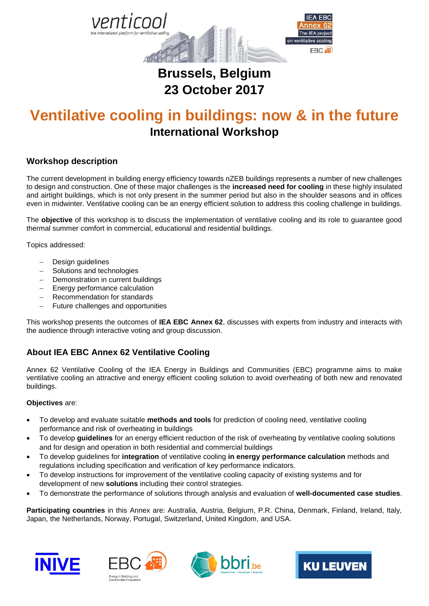

# **Brussels, Belgium 23 October 2017**

# **Ventilative cooling in buildings: now & in the future International Workshop**

### **Workshop description**

The current development in building energy efficiency towards nZEB buildings represents a number of new challenges to design and construction. One of these major challenges is the **increased need for cooling** in these highly insulated and airtight buildings, which is not only present in the summer period but also in the shoulder seasons and in offices even in midwinter. Ventilative cooling can be an energy efficient solution to address this cooling challenge in buildings.

The **objective** of this workshop is to discuss the implementation of ventilative cooling and its role to guarantee good thermal summer comfort in commercial, educational and residential buildings.

Topics addressed:

- Design guidelines
- Solutions and technologies
- Demonstration in current buildings
- $-$  Energy performance calculation
- Recommendation for standards
- Future challenges and opportunities

This workshop presents the outcomes of **IEA EBC Annex 62**, discusses with experts from industry and interacts with the audience through interactive voting and group discussion.

# **About IEA EBC Annex 62 Ventilative Cooling**

Annex 62 Ventilative Cooling of the IEA Energy in Buildings and Communities (EBC) programme aims to make ventilative cooling an attractive and energy efficient cooling solution to avoid overheating of both new and renovated buildings.

#### **Objectives** are:

- To develop and evaluate suitable **methods and tools** for prediction of cooling need, ventilative cooling performance and risk of overheating in buildings
- To develop **guidelines** for an energy efficient reduction of the risk of overheating by ventilative cooling solutions and for design and operation in both residential and commercial buildings
- To develop guidelines for **integration** of ventilative cooling **in energy performance calculation** methods and regulations including specification and verification of key performance indicators.
- To develop instructions for improvement of the ventilative cooling capacity of existing systems and for development of new **solutions** including their control strategies.
- To demonstrate the performance of solutions through analysis and evaluation of **well-documented case studies**.

**Participating countries** in this Annex are: Australia, Austria, Belgium, P.R. China, Denmark, Finland, Ireland, Italy, Japan, the Netherlands, Norway, Portugal, Switzerland, United Kingdom, and USA.







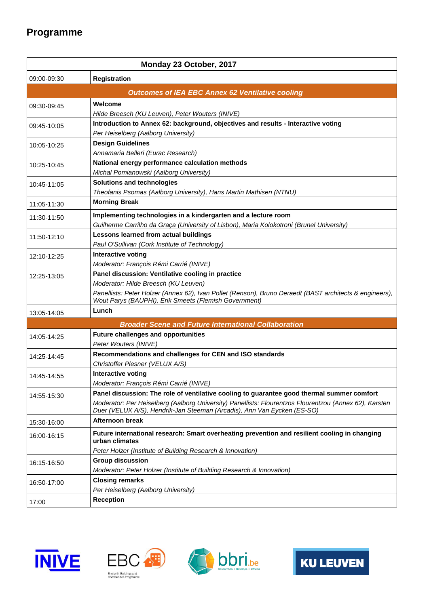# **Programme**

| Monday 23 October, 2017                                     |                                                                                                                                                                                   |
|-------------------------------------------------------------|-----------------------------------------------------------------------------------------------------------------------------------------------------------------------------------|
| 09:00-09:30                                                 | <b>Registration</b>                                                                                                                                                               |
| <b>Outcomes of IEA EBC Annex 62 Ventilative cooling</b>     |                                                                                                                                                                                   |
| 09:30-09:45                                                 | Welcome                                                                                                                                                                           |
|                                                             | Hilde Breesch (KU Leuven), Peter Wouters (INIVE)                                                                                                                                  |
| 09:45-10:05<br>10:05-10:25                                  | Introduction to Annex 62: background, objectives and results - Interactive voting                                                                                                 |
|                                                             | Per Heiselberg (Aalborg University)                                                                                                                                               |
|                                                             | <b>Design Guidelines</b>                                                                                                                                                          |
| 10:25-10:45                                                 | Annamaria Belleri (Eurac Research)<br>National energy performance calculation methods                                                                                             |
|                                                             | Michal Pomianowski (Aalborg University)                                                                                                                                           |
| 10:45-11:05                                                 | Solutions and technologies                                                                                                                                                        |
|                                                             | Theofanis Psomas (Aalborg University), Hans Martin Mathisen (NTNU)                                                                                                                |
| 11:05-11:30                                                 | <b>Morning Break</b>                                                                                                                                                              |
| 11:30-11:50                                                 | Implementing technologies in a kindergarten and a lecture room                                                                                                                    |
|                                                             | Guilherme Carrilho da Graça (University of Lisbon), Maria Kolokotroni (Brunel University)                                                                                         |
| 11:50-12:10                                                 | Lessons learned from actual buildings                                                                                                                                             |
|                                                             | Paul O'Sullivan (Cork Institute of Technology)                                                                                                                                    |
| 12:10-12:25                                                 | Interactive voting                                                                                                                                                                |
|                                                             | Moderator: François Rémi Carrié (INIVE)                                                                                                                                           |
| 12:25-13:05                                                 | Panel discussion: Ventilative cooling in practice                                                                                                                                 |
|                                                             | Moderator: Hilde Breesch (KU Leuven)<br>Panellists: Peter Holzer (Annex 62), Ivan Pollet (Renson), Bruno Deraedt (BAST architects & engineers),                                   |
|                                                             | Wout Parys (BAUPHI), Erik Smeets (Flemish Government)                                                                                                                             |
| 13:05-14:05                                                 | Lunch                                                                                                                                                                             |
| <b>Broader Scene and Future International Collaboration</b> |                                                                                                                                                                                   |
| 14:05-14:25                                                 | <b>Future challenges and opportunities</b><br>Peter Wouters (INIVE)                                                                                                               |
| 14:25-14:45                                                 | Recommendations and challenges for CEN and ISO standards                                                                                                                          |
|                                                             | Christoffer Plesner (VELUX A/S)                                                                                                                                                   |
| 14:45-14:55                                                 | Interactive voting                                                                                                                                                                |
|                                                             | Moderator: François Rémi Carrié (INIVE)                                                                                                                                           |
| 14:55-15:30                                                 | Panel discussion: The role of ventilative cooling to guarantee good thermal summer comfort                                                                                        |
|                                                             | Moderator: Per Heiselberg (Aalborg University) Panellists: Flourentzos Flourentzou (Annex 62), Karsten<br>Duer (VELUX A/S), Hendrik-Jan Steeman (Arcadis), Ann Van Eycken (ES-SO) |
| 15:30-16:00                                                 | <b>Afternoon break</b>                                                                                                                                                            |
| 16:00-16:15                                                 | Future international research: Smart overheating prevention and resilient cooling in changing<br>urban climates                                                                   |
|                                                             | Peter Holzer (Institute of Building Research & Innovation)                                                                                                                        |
| 16:15-16:50                                                 | <b>Group discussion</b>                                                                                                                                                           |
|                                                             | Moderator: Peter Holzer (Institute of Building Research & Innovation)                                                                                                             |
| 16:50-17:00                                                 | <b>Closing remarks</b>                                                                                                                                                            |
|                                                             | Per Heiselberg (Aalborg University)                                                                                                                                               |
| 17:00                                                       | <b>Reception</b>                                                                                                                                                                  |